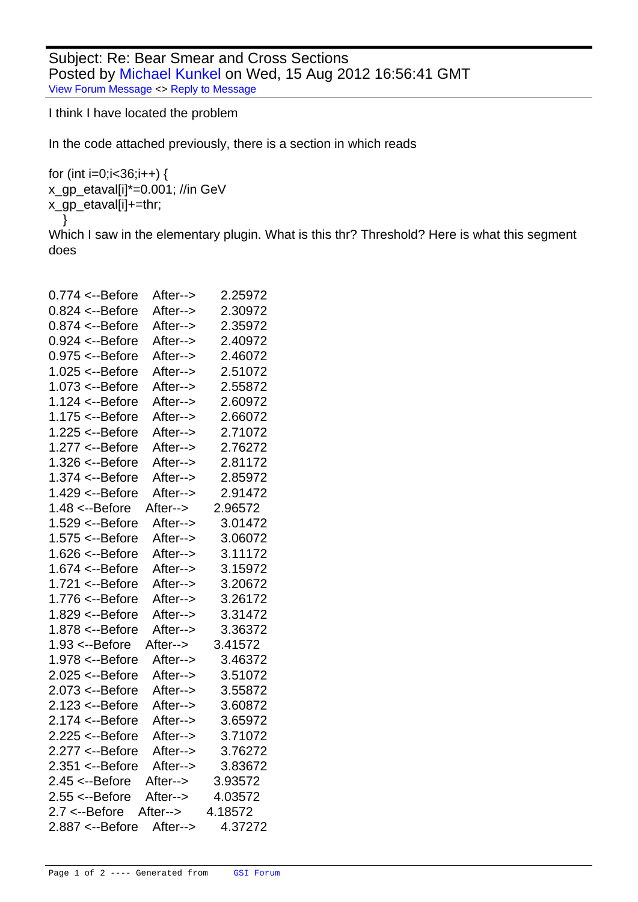Subject: Re: Bear Smear and Cross Sections Posted by Michael Kunkel on Wed, 15 Aug 2012 16:56:41 GMT View Forum Message <> Reply to Message

I think I have located the problem

[In the code attache](https://forum.gsi.de/index.php?t=rview&th=3633&goto=13869#msg_13869)d [previously, there](https://forum.gsi.de/index.php?t=post&reply_to=13869) is a section in which reads

```
for (int i=0;i<36;i++) {
	x_gp_etaval[i]*=0.001; //in GeV 
	x_gp_etaval[i]+=thr;
   }
Which I saw in the elementary plugin. What is this thr? Threshold? Here is what this segment
does
```

| $0.774 < -B$ efore         | After--> | 2.25972 |
|----------------------------|----------|---------|
| $0.824 < -B$ efore         | After--> | 2.30972 |
| $0.874 < -B$ efore         | After--> | 2.35972 |
| $0.924 < -B$ efore         | After--> | 2.40972 |
| $0.975 < -B$ efore         | After--> | 2.46072 |
| $1.025 < -B$ efore         | After--> | 2.51072 |
| $1.073 \leftarrow$ -Before | After--> | 2.55872 |
| $1.124 < -B$ efore         | After--> | 2.60972 |
| $1.175 < -B$ efore         | After--> | 2.66072 |
| $1.225 < -B$ efore         | After--> | 2.71072 |
| 1.277 <--Before            | After--> | 2.76272 |
| 1.326 <--Before            | After--> | 2.81172 |
| 1.374 <--Before            | After--> | 2.85972 |
| 1.429 <--Before            | After--> | 2.91472 |
| $1.48 < -B$ efore          | After--> | 2.96572 |
| $1.529 < -B$ efore         | After--> | 3.01472 |
| 1.575 <--Before            | After--> | 3.06072 |
| $1.626 < -B$ efore         | After--> | 3.11172 |
| 1.674 <--Before            | After--> | 3.15972 |
| $1.721 < -B$ efore         | After--> | 3.20672 |
| $1.776 < -B$ efore         | After--> | 3.26172 |
| $1.829 < -B$ efore         | After--> | 3.31472 |
| 1.878 <--Before            | After--> | 3.36372 |
| $1.93 \leftarrow$ -Before  | After--> | 3.41572 |
| 1.978 <--Before            | After--> | 3.46372 |
| $2.025 < -B$ efore         | After--> | 3.51072 |
| $2.073 \leftarrow$ -Before | After--> | 3.55872 |
| $2.123 < -B$ efore         | After--> | 3.60872 |
| $2.174 < -B$ efore         | After--> | 3.65972 |
| $2.225 < -B$ efore         | After--> | 3.71072 |
| 2.277 <--Before            | After--> | 3.76272 |
| $2.351 < -B$ efore         | After--> | 3.83672 |
| $2.45 < -B$ efore          | After--> | 3.93572 |
| $2.55 < -B$ efore          | After--> | 4.03572 |
| $2.7 < -Before$            | After--> | 4.18572 |
| 2.887 <--Before            | After--> | 4.37272 |